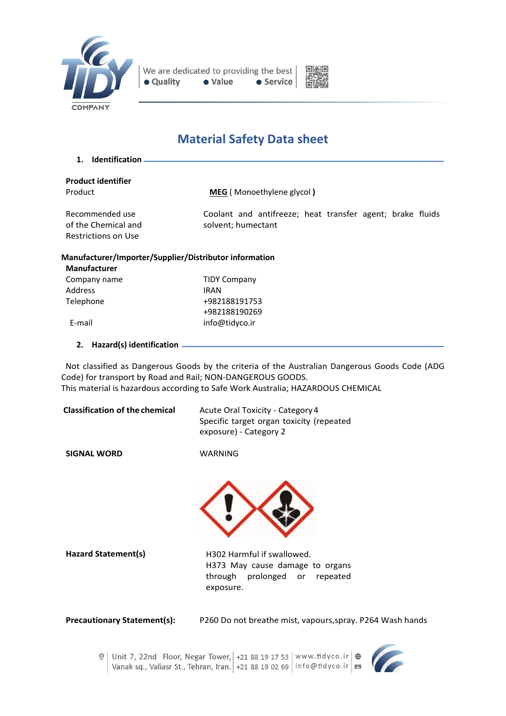



# **Material Safety Data sheet**

**1. Identification**

|                | <b>Product identifier</b> |
|----------------|---------------------------|
| <b>Droduct</b> |                           |

Product **MEG** ( Monoethylene glycol **)**

Recommended use of the Chemical and Restrictions on Use

Coolant and antifreeze; heat transfer agent; brake fluids solvent; humectant

#### **Manufacturer/Importer/Supplier/Distributor information**

| Company name | <b>TIDY Company</b> |
|--------------|---------------------|
| Address      | <b>IRAN</b>         |
| Telephone    | +982188191753       |
|              | +982188190269       |
| E-mail       | info@tidyco.ir      |

**2. Hazard(s) identification**

 Not classified as Dangerous Goods by the criteria of the Australian Dangerous Goods Code (ADG Code) for transport by Road and Rail; NON-DANGEROUS GOODS. This material is hazardous according to Safe Work Australia; HAZARDOUS CHEMICAL

| <b>Classification of the chemical</b> | Acute Oral Toxicity - Category 4<br>Specific target organ toxicity (repeated<br>exposure) - Category 2 |
|---------------------------------------|--------------------------------------------------------------------------------------------------------|
|                                       |                                                                                                        |

**SIGNAL WORD**

WARNING



Hazard Statement(s) **H302 Harmful if swallowed.** H373 May cause damage to organs through prolonged or repeated exposure.

**Precautionary Statement(s):** P260 Do not breathe mist, vapours,spray. P264 Wash hands



 $\circ$  Unit 7, 22nd Floor, Negar Tower, +21 88 19 17 53 | www.tidyco.ir  $\circ$ Vanak sq., Valiasr St., Tehran, Iran. +21 88 19 02 69 | info@tidyco.ir | E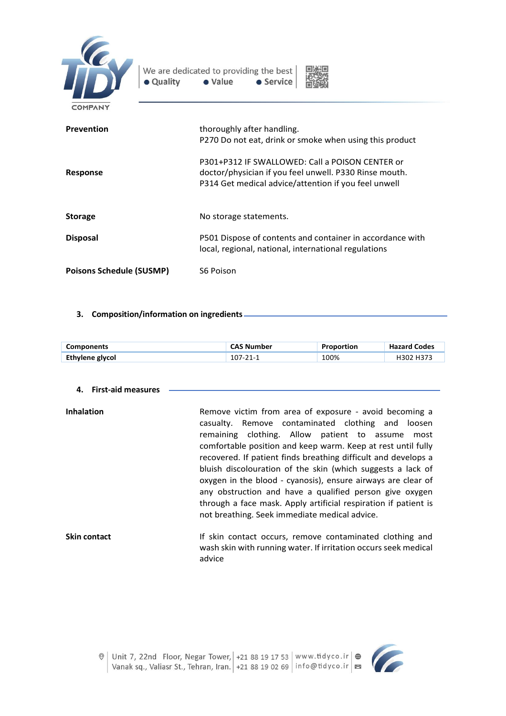

| • Quality                       | We are dedicated to providing the best<br>• Value<br>• Service                                                                                                    |  |
|---------------------------------|-------------------------------------------------------------------------------------------------------------------------------------------------------------------|--|
| COMPANY                         |                                                                                                                                                                   |  |
| Prevention                      | thoroughly after handling.<br>P270 Do not eat, drink or smoke when using this product                                                                             |  |
| Response                        | P301+P312 IF SWALLOWED: Call a POISON CENTER or<br>doctor/physician if you feel unwell. P330 Rinse mouth.<br>P314 Get medical advice/attention if you feel unwell |  |
| <b>Storage</b>                  | No storage statements.                                                                                                                                            |  |
| <b>Disposal</b>                 | P501 Dispose of contents and container in accordance with<br>local, regional, national, international regulations                                                 |  |
| <b>Poisons Schedule (SUSMP)</b> | S6 Poison                                                                                                                                                         |  |

## **3. Composition/information on ingredients**

| <b>Components</b> | <b>CAS Number</b> | Proportion | <b>Hazard Codes</b> |
|-------------------|-------------------|------------|---------------------|
| Ethylene glycol   | 107-21-1          | 100%       | H302 H373           |

## **4. First-aid measures**

| <b>Inhalation</b> | Remove victim from area of exposure - avoid becoming a<br>casualty. Remove contaminated clothing and loosen<br>remaining clothing. Allow patient to assume<br>most<br>comfortable position and keep warm. Keep at rest until fully<br>recovered. If patient finds breathing difficult and develops a<br>bluish discolouration of the skin (which suggests a lack of<br>oxygen in the blood - cyanosis), ensure airways are clear of<br>any obstruction and have a qualified person give oxygen<br>through a face mask. Apply artificial respiration if patient is |
|-------------------|-------------------------------------------------------------------------------------------------------------------------------------------------------------------------------------------------------------------------------------------------------------------------------------------------------------------------------------------------------------------------------------------------------------------------------------------------------------------------------------------------------------------------------------------------------------------|
|                   | not breathing. Seek immediate medical advice.                                                                                                                                                                                                                                                                                                                                                                                                                                                                                                                     |
| .                 | $\mathbf{r}$ , and the contract of the contract of the contract of the contract of the contract of the contract of the contract of the contract of the contract of the contract of the contract of the contract of the contract o                                                                                                                                                                                                                                                                                                                                 |

**Skin contact** If skin contact occurs, remove contaminated clothing and wash skin with running water. If irritation occurs seek medical advice

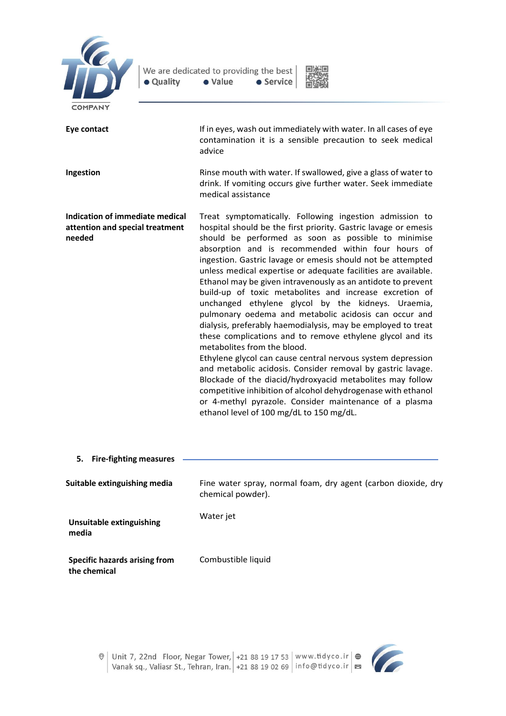



| <b>COMPANT</b>                                                               |                                                                                                                                                                                                                                                                                                                                                                                                                                                                                                                                                                                                                                                                                                                                                                                                                                                                                                                                                                                                                                                                                                                                                 |
|------------------------------------------------------------------------------|-------------------------------------------------------------------------------------------------------------------------------------------------------------------------------------------------------------------------------------------------------------------------------------------------------------------------------------------------------------------------------------------------------------------------------------------------------------------------------------------------------------------------------------------------------------------------------------------------------------------------------------------------------------------------------------------------------------------------------------------------------------------------------------------------------------------------------------------------------------------------------------------------------------------------------------------------------------------------------------------------------------------------------------------------------------------------------------------------------------------------------------------------|
| Eye contact                                                                  | If in eyes, wash out immediately with water. In all cases of eye<br>contamination it is a sensible precaution to seek medical<br>advice                                                                                                                                                                                                                                                                                                                                                                                                                                                                                                                                                                                                                                                                                                                                                                                                                                                                                                                                                                                                         |
| Ingestion                                                                    | Rinse mouth with water. If swallowed, give a glass of water to<br>drink. If vomiting occurs give further water. Seek immediate<br>medical assistance                                                                                                                                                                                                                                                                                                                                                                                                                                                                                                                                                                                                                                                                                                                                                                                                                                                                                                                                                                                            |
| Indication of immediate medical<br>attention and special treatment<br>needed | Treat symptomatically. Following ingestion admission to<br>hospital should be the first priority. Gastric lavage or emesis<br>should be performed as soon as possible to minimise<br>absorption and is recommended within four hours of<br>ingestion. Gastric lavage or emesis should not be attempted<br>unless medical expertise or adequate facilities are available.<br>Ethanol may be given intravenously as an antidote to prevent<br>build-up of toxic metabolites and increase excretion of<br>unchanged ethylene glycol by the kidneys. Uraemia,<br>pulmonary oedema and metabolic acidosis can occur and<br>dialysis, preferably haemodialysis, may be employed to treat<br>these complications and to remove ethylene glycol and its<br>metabolites from the blood.<br>Ethylene glycol can cause central nervous system depression<br>and metabolic acidosis. Consider removal by gastric lavage.<br>Blockade of the diacid/hydroxyacid metabolites may follow<br>competitive inhibition of alcohol dehydrogenase with ethanol<br>or 4-methyl pyrazole. Consider maintenance of a plasma<br>ethanol level of 100 mg/dL to 150 mg/dL. |
| <b>Fire-fighting measures</b><br>5.                                          |                                                                                                                                                                                                                                                                                                                                                                                                                                                                                                                                                                                                                                                                                                                                                                                                                                                                                                                                                                                                                                                                                                                                                 |
| Suitable extinguishing media                                                 | Fine water spray, normal foam, dry agent (carbon dioxide, dry<br>chemical powder).                                                                                                                                                                                                                                                                                                                                                                                                                                                                                                                                                                                                                                                                                                                                                                                                                                                                                                                                                                                                                                                              |
| <b>Unsuitable extinguishing</b><br>media                                     | Water jet                                                                                                                                                                                                                                                                                                                                                                                                                                                                                                                                                                                                                                                                                                                                                                                                                                                                                                                                                                                                                                                                                                                                       |
| <b>Specific hazards arising from</b><br>the chemical                         | Combustible liquid                                                                                                                                                                                                                                                                                                                                                                                                                                                                                                                                                                                                                                                                                                                                                                                                                                                                                                                                                                                                                                                                                                                              |

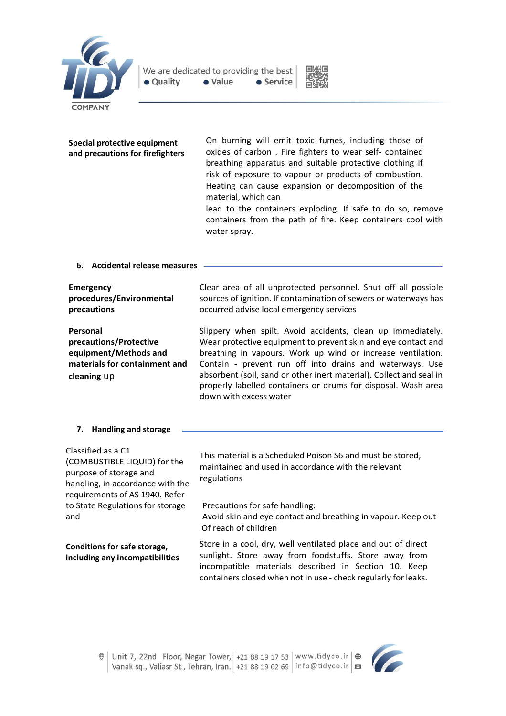



### **Special protective equipment and precautions for firefighters**

On burning will emit toxic fumes, including those of oxides of carbon . Fire fighters to wear self- contained breathing apparatus and suitable protective clothing if risk of exposure to vapour or products of combustion. Heating can cause expansion or decomposition of the material, which can

lead to the containers exploding. If safe to do so, remove containers from the path of fire. Keep containers cool with water spray.

#### **6. Accidental release measures**

| <b>Emergency</b>                                                                                            | Clear area of all unprotected personnel. Shut off all possible                                                                                                                                                                                                                                                                                                                                                            |
|-------------------------------------------------------------------------------------------------------------|---------------------------------------------------------------------------------------------------------------------------------------------------------------------------------------------------------------------------------------------------------------------------------------------------------------------------------------------------------------------------------------------------------------------------|
| procedures/Environmental                                                                                    | sources of ignition. If contamination of sewers or waterways has                                                                                                                                                                                                                                                                                                                                                          |
| precautions                                                                                                 | occurred advise local emergency services                                                                                                                                                                                                                                                                                                                                                                                  |
| Personal<br>precautions/Protective<br>equipment/Methods and<br>materials for containment and<br>cleaning up | Slippery when spilt. Avoid accidents, clean up immediately.<br>Wear protective equipment to prevent skin and eye contact and<br>breathing in vapours. Work up wind or increase ventilation.<br>Contain - prevent run off into drains and waterways. Use<br>absorbent (soil, sand or other inert material). Collect and seal in<br>properly labelled containers or drums for disposal. Wash area<br>down with excess water |

#### **7. Handling and storage**

| Classified as a C1<br>(COMBUSTIBLE LIQUID) for the<br>purpose of storage and<br>handling, in accordance with the<br>requirements of AS 1940. Refer<br>to State Regulations for storage<br>and | This material is a Scheduled Poison S6 and must be stored,<br>maintained and used in accordance with the relevant<br>regulations<br>Precautions for safe handling:<br>Avoid skin and eye contact and breathing in vapour. Keep out               |
|-----------------------------------------------------------------------------------------------------------------------------------------------------------------------------------------------|--------------------------------------------------------------------------------------------------------------------------------------------------------------------------------------------------------------------------------------------------|
|                                                                                                                                                                                               | Of reach of children                                                                                                                                                                                                                             |
| <b>Conditions for safe storage,</b><br>including any incompatibilities                                                                                                                        | Store in a cool, dry, well ventilated place and out of direct<br>sunlight. Store away from foodstuffs. Store away from<br>incompatible materials described in Section 10. Keep<br>containers closed when not in use - check regularly for leaks. |

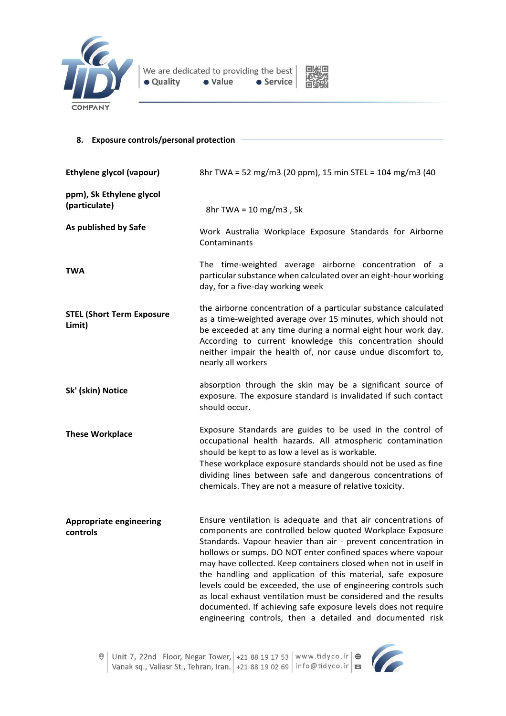



## **8. Exposure controls/personal protection**

| <b>Ethylene glycol (vapour)</b>            | 8hr TWA = 52 mg/m3 (20 ppm), 15 min STEL = 104 mg/m3 (40                                                                                                                                                                                                                                                                                                                                                                                                                                                                                                                                                                                                          |  |
|--------------------------------------------|-------------------------------------------------------------------------------------------------------------------------------------------------------------------------------------------------------------------------------------------------------------------------------------------------------------------------------------------------------------------------------------------------------------------------------------------------------------------------------------------------------------------------------------------------------------------------------------------------------------------------------------------------------------------|--|
| ppm), Sk Ethylene glycol<br>(particulate)  | 8hr TWA = $10 \text{ mg/m}$ 3, Sk                                                                                                                                                                                                                                                                                                                                                                                                                                                                                                                                                                                                                                 |  |
| As published by Safe                       | Work Australia Workplace Exposure Standards for Airborne<br>Contaminants                                                                                                                                                                                                                                                                                                                                                                                                                                                                                                                                                                                          |  |
| <b>TWA</b>                                 | The time-weighted average airborne concentration of a<br>particular substance when calculated over an eight-hour working<br>day, for a five-day working week                                                                                                                                                                                                                                                                                                                                                                                                                                                                                                      |  |
| <b>STEL (Short Term Exposure</b><br>Limit) | the airborne concentration of a particular substance calculated<br>as a time-weighted average over 15 minutes, which should not<br>be exceeded at any time during a normal eight hour work day.<br>According to current knowledge this concentration should<br>neither impair the health of, nor cause undue discomfort to,<br>nearly all workers                                                                                                                                                                                                                                                                                                                 |  |
| Sk' (skin) Notice                          | absorption through the skin may be a significant source of<br>exposure. The exposure standard is invalidated if such contact<br>should occur.                                                                                                                                                                                                                                                                                                                                                                                                                                                                                                                     |  |
| <b>These Workplace</b>                     | Exposure Standards are guides to be used in the control of<br>occupational health hazards. All atmospheric contamination<br>should be kept to as low a level as is workable.<br>These workplace exposure standards should not be used as fine<br>dividing lines between safe and dangerous concentrations of<br>chemicals. They are not a measure of relative toxicity.                                                                                                                                                                                                                                                                                           |  |
| <b>Appropriate engineering</b><br>controls | Ensure ventilation is adequate and that air concentrations of<br>components are controlled below quoted Workplace Exposure<br>Standards. Vapour heavier than air - prevent concentration in<br>hollows or sumps. DO NOT enter confined spaces where vapour<br>may have collected. Keep containers closed when not in uself in<br>the handling and application of this material, safe exposure<br>levels could be exceeded, the use of engineering controls such<br>as local exhaust ventilation must be considered and the results<br>documented. If achieving safe exposure levels does not require<br>engineering controls, then a detailed and documented risk |  |

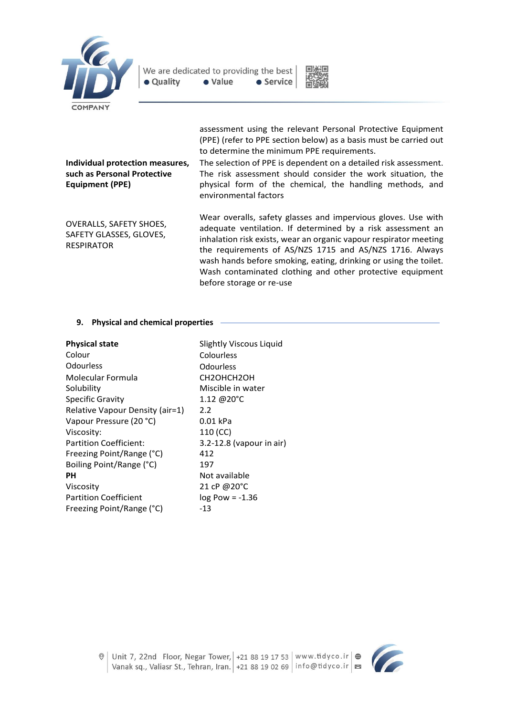



assessment using the relevant Personal Protective Equipment (PPE) (refer to PPE section below) as a basis must be carried out to determine the minimum PPE requirements.

### **Individual protection measures, such as Personal Protective Equipment (PPE)**

OVERALLS, SAFETY SHOES, SAFETY GLASSES, GLOVES, RESPIRATOR

The selection of PPE is dependent on a detailed risk assessment. The risk assessment should consider the work situation, the physical form of the chemical, the handling methods, and environmental factors

Wear overalls, safety glasses and impervious gloves. Use with adequate ventilation. If determined by a risk assessment an inhalation risk exists, wear an organic vapour respirator meeting the requirements of AS/NZS 1715 and AS/NZS 1716. Always wash hands before smoking, eating, drinking or using the toilet. Wash contaminated clothing and other protective equipment before storage or re-use

## **9. Physical and chemical properties**

| <b>Physical state</b><br>Colour<br>Odourless<br>Molecular Formula<br>Solubility<br><b>Specific Gravity</b><br>Relative Vapour Density (air=1)<br>Vapour Pressure (20 °C)<br>Viscosity:<br>Partition Coefficient:<br>Freezing Point/Range (°C)<br>Boiling Point/Range (°C)<br><b>PH</b><br>Viscosity<br><b>Partition Coefficient</b> | Slightly Viscous Liquid<br>Colourless<br>Odourless<br>CH2OHCH2OH<br>Miscible in water<br>1.12 @ $20^{\circ}$ C<br>2.2<br>0.01 kPa<br>110 (CC)<br>3.2-12.8 (vapour in air)<br>412<br>197<br>Not available<br>21 cP @20°C<br>$log$ Pow = $-1.36$ |
|-------------------------------------------------------------------------------------------------------------------------------------------------------------------------------------------------------------------------------------------------------------------------------------------------------------------------------------|------------------------------------------------------------------------------------------------------------------------------------------------------------------------------------------------------------------------------------------------|
| Freezing Point/Range (°C)                                                                                                                                                                                                                                                                                                           | -13                                                                                                                                                                                                                                            |
|                                                                                                                                                                                                                                                                                                                                     |                                                                                                                                                                                                                                                |

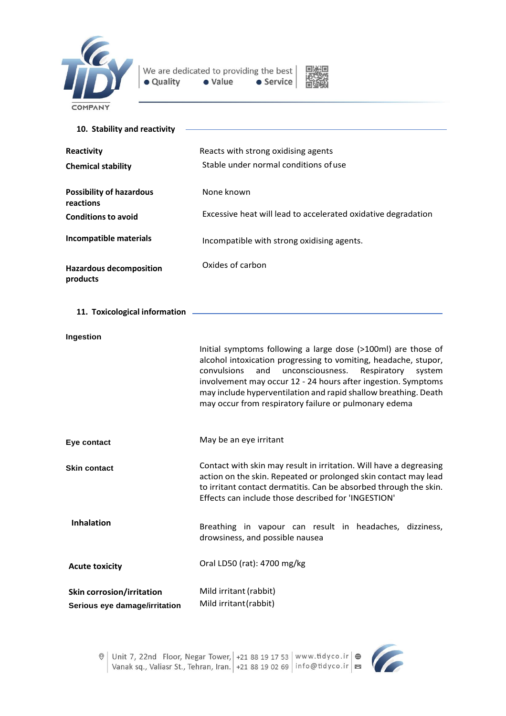



| 10. Stability and reactivity                                      |                                                                                                                                                                                                                                                                                                                                                                                                  |
|-------------------------------------------------------------------|--------------------------------------------------------------------------------------------------------------------------------------------------------------------------------------------------------------------------------------------------------------------------------------------------------------------------------------------------------------------------------------------------|
| Reactivity                                                        | Reacts with strong oxidising agents                                                                                                                                                                                                                                                                                                                                                              |
| <b>Chemical stability</b>                                         | Stable under normal conditions of use                                                                                                                                                                                                                                                                                                                                                            |
| <b>Possibility of hazardous</b><br>reactions                      | None known                                                                                                                                                                                                                                                                                                                                                                                       |
| <b>Conditions to avoid</b>                                        | Excessive heat will lead to accelerated oxidative degradation                                                                                                                                                                                                                                                                                                                                    |
| Incompatible materials                                            | Incompatible with strong oxidising agents.                                                                                                                                                                                                                                                                                                                                                       |
| <b>Hazardous decomposition</b><br>products                        | Oxides of carbon                                                                                                                                                                                                                                                                                                                                                                                 |
| 11. Toxicological information                                     |                                                                                                                                                                                                                                                                                                                                                                                                  |
| Ingestion                                                         |                                                                                                                                                                                                                                                                                                                                                                                                  |
|                                                                   | Initial symptoms following a large dose (>100ml) are those of<br>alcohol intoxication progressing to vomiting, headache, stupor,<br>convulsions<br>unconsciousness.<br>and<br>Respiratory<br>system<br>involvement may occur 12 - 24 hours after ingestion. Symptoms<br>may include hyperventilation and rapid shallow breathing. Death<br>may occur from respiratory failure or pulmonary edema |
| Eye contact                                                       | May be an eye irritant                                                                                                                                                                                                                                                                                                                                                                           |
| <b>Skin contact</b>                                               | Contact with skin may result in irritation. Will have a degreasing<br>action on the skin. Repeated or prolonged skin contact may lead<br>to irritant contact dermatitis. Can be absorbed through the skin.<br>Effects can include those described for 'INGESTION'                                                                                                                                |
| <b>Inhalation</b>                                                 | Breathing in vapour can result in headaches, dizziness,<br>drowsiness, and possible nausea                                                                                                                                                                                                                                                                                                       |
| <b>Acute toxicity</b>                                             | Oral LD50 (rat): 4700 mg/kg                                                                                                                                                                                                                                                                                                                                                                      |
| <b>Skin corrosion/irritation</b><br>Serious eye damage/irritation | Mild irritant (rabbit)<br>Mild irritant (rabbit)                                                                                                                                                                                                                                                                                                                                                 |



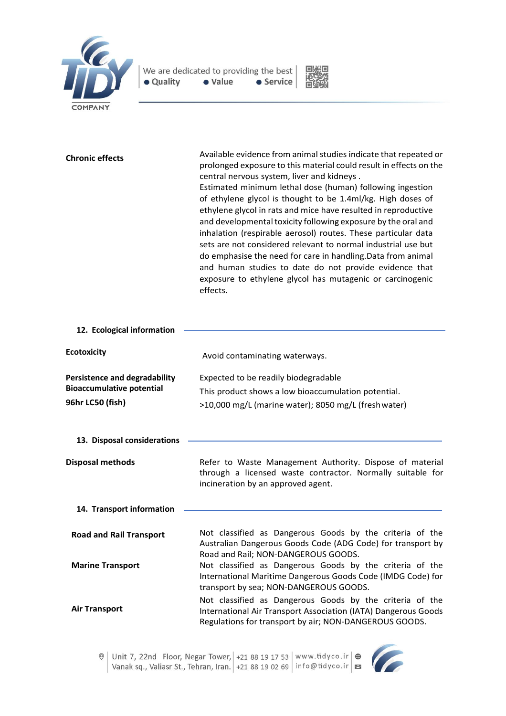

| <b>Chronic effects</b>                                                                       | Available evidence from animal studies indicate that repeated or<br>prolonged exposure to this material could result in effects on the<br>central nervous system, liver and kidneys.<br>Estimated minimum lethal dose (human) following ingestion<br>of ethylene glycol is thought to be 1.4ml/kg. High doses of<br>ethylene glycol in rats and mice have resulted in reproductive<br>and developmental toxicity following exposure by the oral and<br>inhalation (respirable aerosol) routes. These particular data<br>sets are not considered relevant to normal industrial use but<br>do emphasise the need for care in handling. Data from animal<br>and human studies to date do not provide evidence that<br>exposure to ethylene glycol has mutagenic or carcinogenic<br>effects. |
|----------------------------------------------------------------------------------------------|------------------------------------------------------------------------------------------------------------------------------------------------------------------------------------------------------------------------------------------------------------------------------------------------------------------------------------------------------------------------------------------------------------------------------------------------------------------------------------------------------------------------------------------------------------------------------------------------------------------------------------------------------------------------------------------------------------------------------------------------------------------------------------------|
| 12. Ecological information                                                                   |                                                                                                                                                                                                                                                                                                                                                                                                                                                                                                                                                                                                                                                                                                                                                                                          |
| <b>Ecotoxicity</b>                                                                           | Avoid contaminating waterways.                                                                                                                                                                                                                                                                                                                                                                                                                                                                                                                                                                                                                                                                                                                                                           |
| <b>Persistence and degradability</b><br><b>Bioaccumulative potential</b><br>96hr LC50 (fish) | Expected to be readily biodegradable<br>This product shows a low bioaccumulation potential.<br>>10,000 mg/L (marine water); 8050 mg/L (fresh water)                                                                                                                                                                                                                                                                                                                                                                                                                                                                                                                                                                                                                                      |
| 13. Disposal considerations                                                                  |                                                                                                                                                                                                                                                                                                                                                                                                                                                                                                                                                                                                                                                                                                                                                                                          |
| <b>Disposal methods</b>                                                                      | Refer to Waste Management Authority. Dispose of material<br>through a licensed waste contractor. Normally suitable for<br>incineration by an approved agent.                                                                                                                                                                                                                                                                                                                                                                                                                                                                                                                                                                                                                             |
| 14. Transport information                                                                    |                                                                                                                                                                                                                                                                                                                                                                                                                                                                                                                                                                                                                                                                                                                                                                                          |
| <b>Road and Rail Transport</b>                                                               | Not classified as Dangerous Goods by the criteria of the<br>Australian Dangerous Goods Code (ADG Code) for transport by<br>Road and Rail; NON-DANGEROUS GOODS.                                                                                                                                                                                                                                                                                                                                                                                                                                                                                                                                                                                                                           |
| <b>Marine Transport</b>                                                                      | Not classified as Dangerous Goods by the criteria of the<br>International Maritime Dangerous Goods Code (IMDG Code) for<br>transport by sea; NON-DANGEROUS GOODS.                                                                                                                                                                                                                                                                                                                                                                                                                                                                                                                                                                                                                        |

**Air Transport** Not classified as Dangerous Goods by the criteria of the International Air Transport Association (IATA) Dangerous Goods Regulations for transport by air; NON-DANGEROUS GOODS.